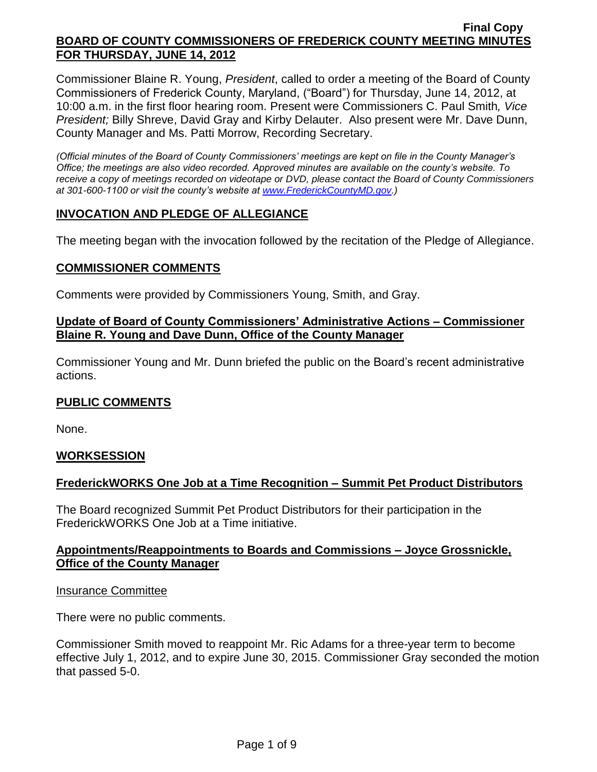Commissioner Blaine R. Young, *President*, called to order a meeting of the Board of County Commissioners of Frederick County, Maryland, ("Board") for Thursday, June 14, 2012, at 10:00 a.m. in the first floor hearing room. Present were Commissioners C. Paul Smith*, Vice President;* Billy Shreve, David Gray and Kirby Delauter. Also present were Mr. Dave Dunn, County Manager and Ms. Patti Morrow, Recording Secretary.

*(Official minutes of the Board of County Commissioners' meetings are kept on file in the County Manager's Office; the meetings are also video recorded. Approved minutes are available on the county's website. To receive a copy of meetings recorded on videotape or DVD, please contact the Board of County Commissioners at 301-600-1100 or visit the county's website at [www.FrederickCountyMD.gov.](http://www.frederickcountymd.gov/))*

## **INVOCATION AND PLEDGE OF ALLEGIANCE**

The meeting began with the invocation followed by the recitation of the Pledge of Allegiance.

#### **COMMISSIONER COMMENTS**

Comments were provided by Commissioners Young, Smith, and Gray.

#### **Update of Board of County Commissioners' Administrative Actions – Commissioner Blaine R. Young and Dave Dunn, Office of the County Manager**

Commissioner Young and Mr. Dunn briefed the public on the Board's recent administrative actions.

## **PUBLIC COMMENTS**

None.

## **WORKSESSION**

## **FrederickWORKS One Job at a Time Recognition – Summit Pet Product Distributors**

The Board recognized Summit Pet Product Distributors for their participation in the FrederickWORKS One Job at a Time initiative.

## **Appointments/Reappointments to Boards and Commissions – Joyce Grossnickle, Office of the County Manager**

#### Insurance Committee

There were no public comments.

Commissioner Smith moved to reappoint Mr. Ric Adams for a three-year term to become effective July 1, 2012, and to expire June 30, 2015. Commissioner Gray seconded the motion that passed 5-0.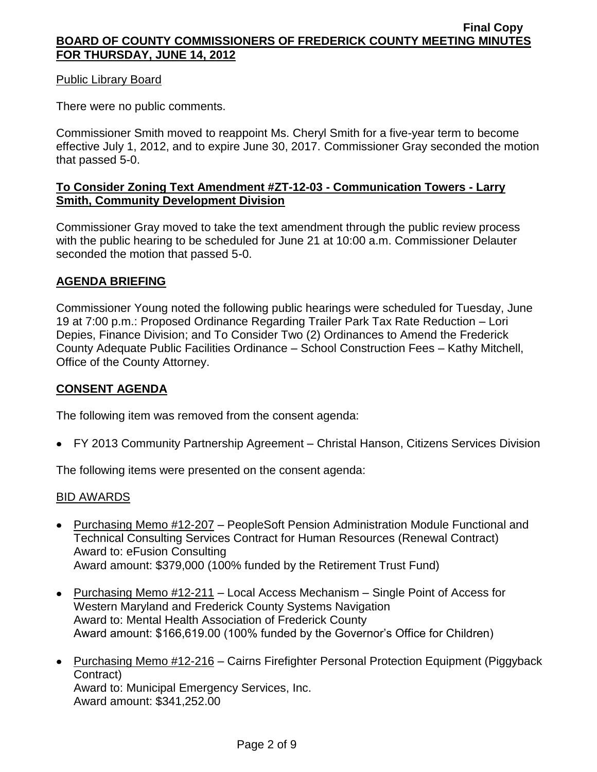## Public Library Board

There were no public comments.

Commissioner Smith moved to reappoint Ms. Cheryl Smith for a five-year term to become effective July 1, 2012, and to expire June 30, 2017. Commissioner Gray seconded the motion that passed 5-0.

# **To Consider Zoning Text Amendment #ZT-12-03 - Communication Towers - Larry Smith, Community Development Division**

Commissioner Gray moved to take the text amendment through the public review process with the public hearing to be scheduled for June 21 at 10:00 a.m. Commissioner Delauter seconded the motion that passed 5-0.

# **AGENDA BRIEFING**

Commissioner Young noted the following public hearings were scheduled for Tuesday, June 19 at 7:00 p.m.: Proposed Ordinance Regarding Trailer Park Tax Rate Reduction – Lori Depies, Finance Division; and To Consider Two (2) Ordinances to Amend the Frederick County Adequate Public Facilities Ordinance – School Construction Fees – Kathy Mitchell, Office of the County Attorney.

## **CONSENT AGENDA**

The following item was removed from the consent agenda:

FY 2013 Community Partnership Agreement – Christal Hanson, Citizens Services Division

The following items were presented on the consent agenda:

## BID AWARDS

- Purchasing Memo #12-207 PeopleSoft Pension Administration Module Functional and Technical Consulting Services Contract for Human Resources (Renewal Contract) Award to: eFusion Consulting Award amount: \$379,000 (100% funded by the Retirement Trust Fund)
- Purchasing Memo #12-211 Local Access Mechanism Single Point of Access for Western Maryland and Frederick County Systems Navigation Award to: Mental Health Association of Frederick County Award amount: \$166,619.00 (100% funded by the Governor's Office for Children)
- Purchasing Memo #12-216 Cairns Firefighter Personal Protection Equipment (Piggyback Contract) Award to: Municipal Emergency Services, Inc. Award amount: \$341,252.00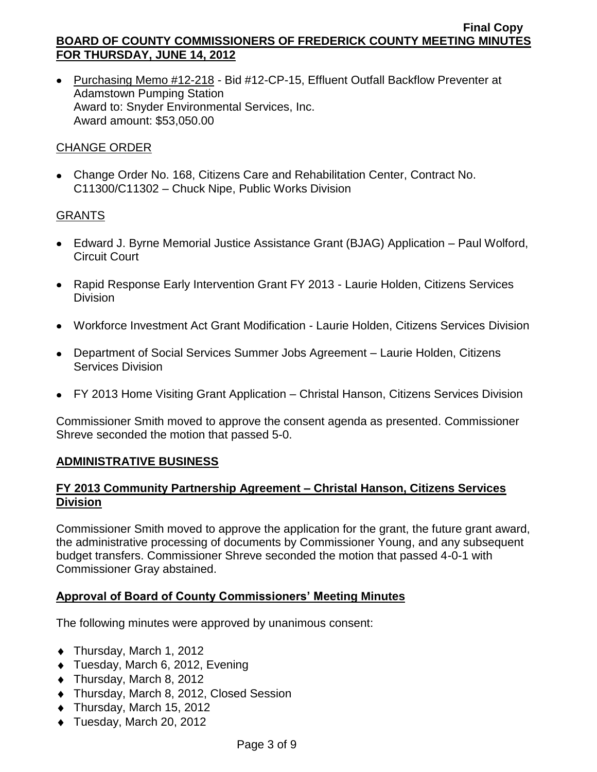• Purchasing Memo #12-218 - Bid #12-CP-15, Effluent Outfall Backflow Preventer at Adamstown Pumping Station Award to: Snyder Environmental Services, Inc. Award amount: \$53,050.00

# CHANGE ORDER

Change Order No. 168, Citizens Care and Rehabilitation Center, Contract No. C11300/C11302 – Chuck Nipe, Public Works Division

# **GRANTS**

- Edward J. Byrne Memorial Justice Assistance Grant (BJAG) Application Paul Wolford, Circuit Court
- Rapid Response Early Intervention Grant FY 2013 Laurie Holden, Citizens Services **Division**
- Workforce Investment Act Grant Modification Laurie Holden, Citizens Services Division
- Department of Social Services Summer Jobs Agreement Laurie Holden, Citizens Services Division
- FY 2013 Home Visiting Grant Application Christal Hanson, Citizens Services Division

Commissioner Smith moved to approve the consent agenda as presented. Commissioner Shreve seconded the motion that passed 5-0.

## **ADMINISTRATIVE BUSINESS**

# **FY 2013 Community Partnership Agreement – Christal Hanson, Citizens Services Division**

Commissioner Smith moved to approve the application for the grant, the future grant award, the administrative processing of documents by Commissioner Young, and any subsequent budget transfers. Commissioner Shreve seconded the motion that passed 4-0-1 with Commissioner Gray abstained.

## **Approval of Board of County Commissioners' Meeting Minutes**

The following minutes were approved by unanimous consent:

- ◆ Thursday, March 1, 2012
- ◆ Tuesday, March 6, 2012, Evening
- ◆ Thursday, March 8, 2012
- Thursday, March 8, 2012, Closed Session
- ◆ Thursday, March 15, 2012
- ◆ Tuesday, March 20, 2012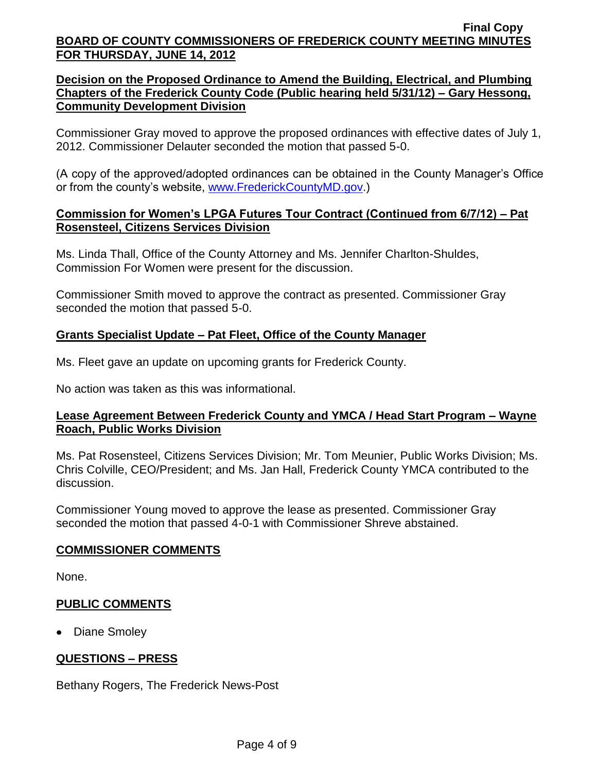## **Decision on the Proposed Ordinance to Amend the Building, Electrical, and Plumbing Chapters of the Frederick County Code (Public hearing held 5/31/12) – Gary Hessong, Community Development Division**

Commissioner Gray moved to approve the proposed ordinances with effective dates of July 1, 2012. Commissioner Delauter seconded the motion that passed 5-0.

(A copy of the approved/adopted ordinances can be obtained in the County Manager's Office or from the county's website, [www.FrederickCountyMD.gov.](http://www.frederickcountymd.gov/))

## **Commission for Women's LPGA Futures Tour Contract (Continued from 6/7/12) – Pat Rosensteel, Citizens Services Division**

Ms. Linda Thall, Office of the County Attorney and Ms. Jennifer Charlton-Shuldes, Commission For Women were present for the discussion.

Commissioner Smith moved to approve the contract as presented. Commissioner Gray seconded the motion that passed 5-0.

# **Grants Specialist Update – Pat Fleet, Office of the County Manager**

Ms. Fleet gave an update on upcoming grants for Frederick County.

No action was taken as this was informational.

## **Lease Agreement Between Frederick County and YMCA / Head Start Program – Wayne Roach, Public Works Division**

Ms. Pat Rosensteel, Citizens Services Division; Mr. Tom Meunier, Public Works Division; Ms. Chris Colville, CEO/President; and Ms. Jan Hall, Frederick County YMCA contributed to the discussion.

Commissioner Young moved to approve the lease as presented. Commissioner Gray seconded the motion that passed 4-0-1 with Commissioner Shreve abstained.

## **COMMISSIONER COMMENTS**

None.

## **PUBLIC COMMENTS**

• Diane Smoley

# **QUESTIONS – PRESS**

Bethany Rogers, The Frederick News-Post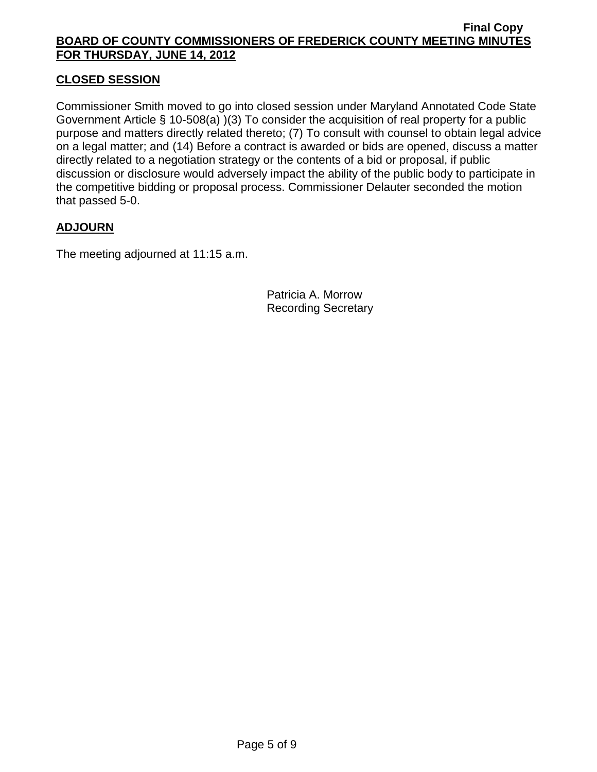# **CLOSED SESSION**

Commissioner Smith moved to go into closed session under Maryland Annotated Code State Government Article § 10-508(a) )(3) To consider the acquisition of real property for a public purpose and matters directly related thereto; (7) To consult with counsel to obtain legal advice on a legal matter; and (14) Before a contract is awarded or bids are opened, discuss a matter directly related to a negotiation strategy or the contents of a bid or proposal, if public discussion or disclosure would adversely impact the ability of the public body to participate in the competitive bidding or proposal process. Commissioner Delauter seconded the motion that passed 5-0.

## **ADJOURN**

The meeting adjourned at 11:15 a.m.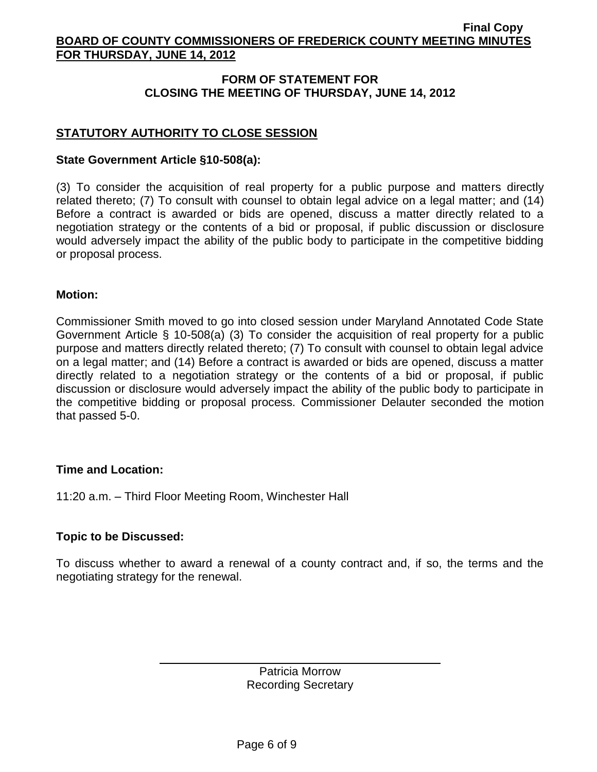# **FORM OF STATEMENT FOR CLOSING THE MEETING OF THURSDAY, JUNE 14, 2012**

# **STATUTORY AUTHORITY TO CLOSE SESSION**

#### **State Government Article §10-508(a):**

(3) To consider the acquisition of real property for a public purpose and matters directly related thereto; (7) To consult with counsel to obtain legal advice on a legal matter; and (14) Before a contract is awarded or bids are opened, discuss a matter directly related to a negotiation strategy or the contents of a bid or proposal, if public discussion or disclosure would adversely impact the ability of the public body to participate in the competitive bidding or proposal process.

#### **Motion:**

Commissioner Smith moved to go into closed session under Maryland Annotated Code State Government Article § 10-508(a) (3) To consider the acquisition of real property for a public purpose and matters directly related thereto; (7) To consult with counsel to obtain legal advice on a legal matter; and (14) Before a contract is awarded or bids are opened, discuss a matter directly related to a negotiation strategy or the contents of a bid or proposal, if public discussion or disclosure would adversely impact the ability of the public body to participate in the competitive bidding or proposal process. Commissioner Delauter seconded the motion that passed 5-0.

#### **Time and Location:**

11:20 a.m. – Third Floor Meeting Room, Winchester Hall

## **Topic to be Discussed:**

To discuss whether to award a renewal of a county contract and, if so, the terms and the negotiating strategy for the renewal.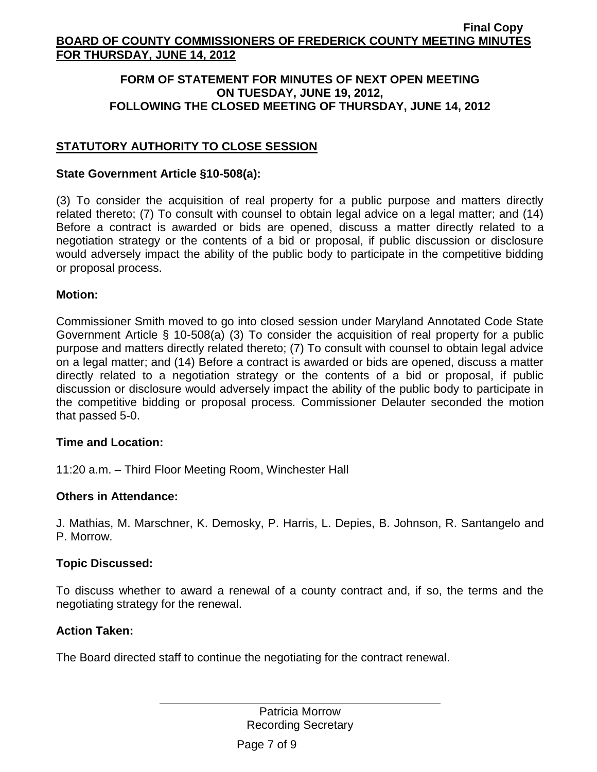#### **FORM OF STATEMENT FOR MINUTES OF NEXT OPEN MEETING ON TUESDAY, JUNE 19, 2012, FOLLOWING THE CLOSED MEETING OF THURSDAY, JUNE 14, 2012**

# **STATUTORY AUTHORITY TO CLOSE SESSION**

#### **State Government Article §10-508(a):**

(3) To consider the acquisition of real property for a public purpose and matters directly related thereto; (7) To consult with counsel to obtain legal advice on a legal matter; and (14) Before a contract is awarded or bids are opened, discuss a matter directly related to a negotiation strategy or the contents of a bid or proposal, if public discussion or disclosure would adversely impact the ability of the public body to participate in the competitive bidding or proposal process.

#### **Motion:**

Commissioner Smith moved to go into closed session under Maryland Annotated Code State Government Article § 10-508(a) (3) To consider the acquisition of real property for a public purpose and matters directly related thereto; (7) To consult with counsel to obtain legal advice on a legal matter; and (14) Before a contract is awarded or bids are opened, discuss a matter directly related to a negotiation strategy or the contents of a bid or proposal, if public discussion or disclosure would adversely impact the ability of the public body to participate in the competitive bidding or proposal process. Commissioner Delauter seconded the motion that passed 5-0.

## **Time and Location:**

11:20 a.m. – Third Floor Meeting Room, Winchester Hall

## **Others in Attendance:**

J. Mathias, M. Marschner, K. Demosky, P. Harris, L. Depies, B. Johnson, R. Santangelo and P. Morrow.

## **Topic Discussed:**

To discuss whether to award a renewal of a county contract and, if so, the terms and the negotiating strategy for the renewal.

#### **Action Taken:**

The Board directed staff to continue the negotiating for the contract renewal.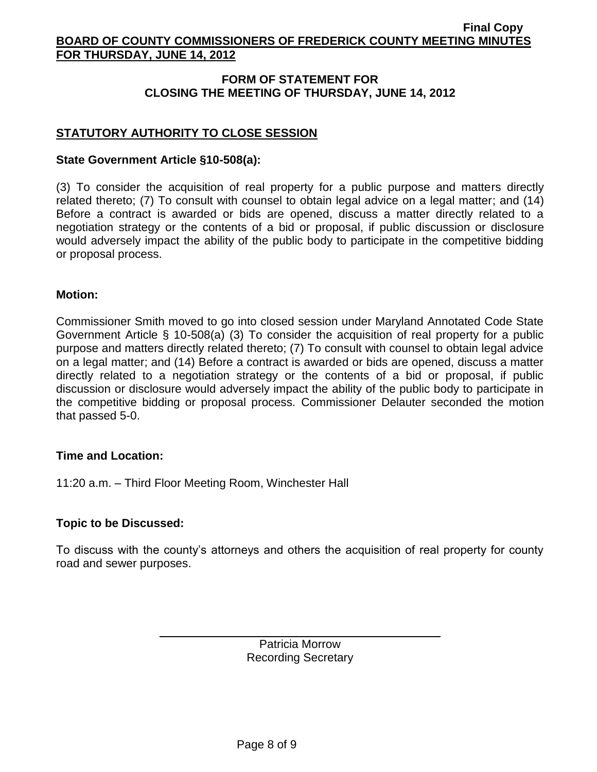# **FORM OF STATEMENT FOR CLOSING THE MEETING OF THURSDAY, JUNE 14, 2012**

# **STATUTORY AUTHORITY TO CLOSE SESSION**

#### **State Government Article §10-508(a):**

(3) To consider the acquisition of real property for a public purpose and matters directly related thereto; (7) To consult with counsel to obtain legal advice on a legal matter; and (14) Before a contract is awarded or bids are opened, discuss a matter directly related to a negotiation strategy or the contents of a bid or proposal, if public discussion or disclosure would adversely impact the ability of the public body to participate in the competitive bidding or proposal process.

#### **Motion:**

Commissioner Smith moved to go into closed session under Maryland Annotated Code State Government Article § 10-508(a) (3) To consider the acquisition of real property for a public purpose and matters directly related thereto; (7) To consult with counsel to obtain legal advice on a legal matter; and (14) Before a contract is awarded or bids are opened, discuss a matter directly related to a negotiation strategy or the contents of a bid or proposal, if public discussion or disclosure would adversely impact the ability of the public body to participate in the competitive bidding or proposal process. Commissioner Delauter seconded the motion that passed 5-0.

## **Time and Location:**

11:20 a.m. – Third Floor Meeting Room, Winchester Hall

## **Topic to be Discussed:**

To discuss with the county's attorneys and others the acquisition of real property for county road and sewer purposes.